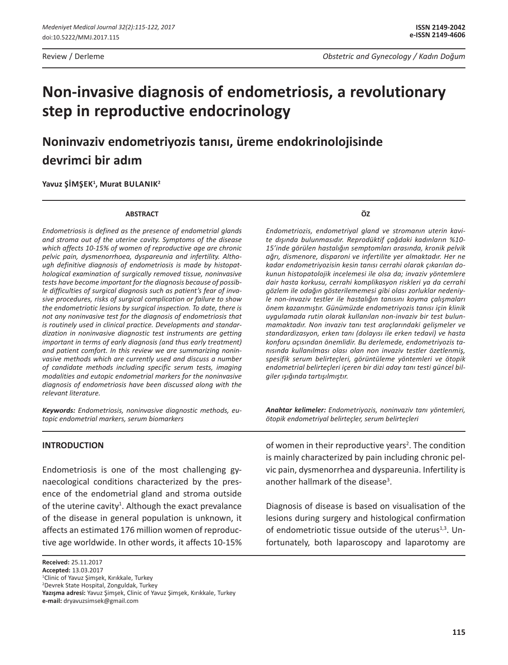# **Non-invasive diagnosis of endometriosis, a revolutionary step in reproductive endocrinology**

**Noninvaziv endometriyozis tanısı, üreme endokrinolojisinde devrimci bir adım**

**Yavuz Şİmşek<sup>1</sup> , Murat Bulanık<sup>2</sup>**

#### **ABSTRACT**

*Endometriosis is defined as the presence of endometrial glands and stroma out of the uterine cavity. Symptoms of the disease which affects 10-15% of women of reproductive age are chronic pelvic pain, dysmenorrhoea, dyspareunia and infertility. Although definitive diagnosis of endometriosis is made by histopathological examination of surgically removed tissue, noninvasive tests have become important for the diagnosis because of possible difficulties of surgical diagnosis such as patient's fear of invasive procedures, risks of surgical complication or failure to show the endometriotic lesions by surgical inspection. To date, there is not any noninvasive test for the diagnosis of endometriosis that is routinely used in clinical practice. Developments and standardization in noninvasive diagnostic test instruments are getting important in terms of early diagnosis (and thus early treatment) and patient comfort. In this review we are summarizing noninvasive methods which are currently used and discuss a number of candidate methods including specific serum tests, imaging modalities and eutopic endometrial markers for the noninvasive diagnosis of endometriosis have been discussed along with the relevant literature.*

*Keywords: Endometriosis, noninvasive diagnostic methods, eutopic endometrial markers, serum biomarkers*

#### **INTRODUCTION**

Endometriosis is one of the most challenging gynaecological conditions characterized by the presence of the endometrial gland and stroma outside of the uterine cavity<sup>1</sup>. Although the exact prevalance of the disease in general population is unknown, it affects an estimated 176 million women of reproductive age worldwide. In other words, it affects 10-15%

**Received:** 25.11.2017 **Accepted:** 13.03.2017 1 Clinic of Yavuz Şimşek, Kırıkkale, Turkey 2 Devrek State Hospital, Zonguldak, Turkey **Yazışma adresi:** Yavuz Şimşek, Clinic of Yavuz Şimşek, Kırıkkale, Turkey **e-mail:** dryavuzsimsek@gmail.com

**ÖZ**

*Endometriozis, endometriyal gland ve stromanın uterin kavite dışında bulunmasıdır. Reprodüktif çağdaki kadınların %10- 15'inde görülen hastalığın semptomları arasında, kronik pelvik ağrı, dismenore, disparoni ve infertilite yer almaktadır. Her ne kadar endometriyozisin kesin tanısı cerrahi olarak çıkarılan dokunun histopatolojik incelemesi ile olsa da; invaziv yöntemlere dair hasta korkusu, cerrahi komplikasyon riskleri ya da cerrahi gözlem ile odağın gösterilememesi gibi olası zorluklar nedeniyle non-invaziv testler ile hastalığın tanısını koyma çalışmaları önem kazanmıştır. Günümüzde endometriyozis tanısı için klinik uygulamada rutin olarak kullanılan non-invaziv bir test bulunmamaktadır. Non invaziv tanı test araçlarındaki gelişmeler ve standardizasyon, erken tanı (dolayısı ile erken tedavi) ve hasta konforu açısından önemlidir. Bu derlemede, endometriyozis tanısında kullanılması olası olan non invaziv testler özetlenmiş, spesifik serum belirteçleri, görüntüleme yöntemleri ve ötopik endometrial belirteçleri içeren bir dizi aday tanı testi güncel bilgiler ışığında tartışılmıştır.*

*Anahtar kelimeler: Endometriyozis, noninvaziv tanı yöntemleri, ötopik endometriyal belirteçler, serum belirteçleri*

of women in their reproductive years<sup>2</sup>. The condition is mainly characterized by pain including chronic pelvic pain, dysmenorrhea and dyspareunia. Infertility is another hallmark of the disease<sup>3</sup>.

Diagnosis of disease is based on visualisation of the lesions during surgery and histological confirmation of endometriotic tissue outside of the uterus $1,3$ . Unfortunately, both laparoscopy and laparotomy are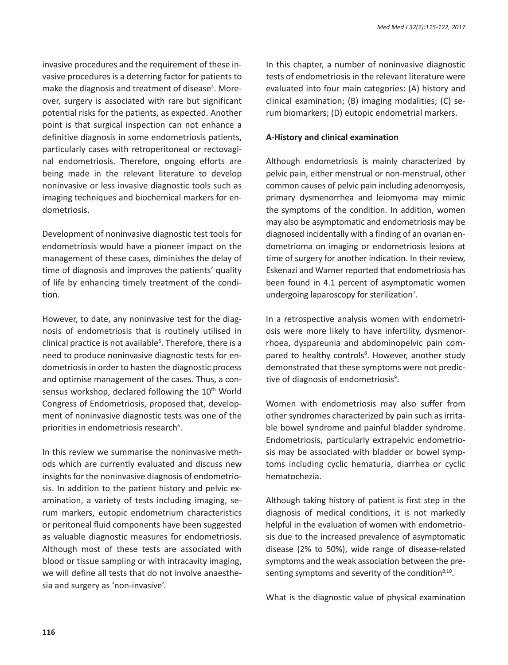invasive procedures and the requirement of these invasive procedures is a deterring factor for patients to make the diagnosis and treatment of disease<sup>4</sup>. Moreover, surgery is associated with rare but significant potential risks for the patients, as expected. Another point is that surgical inspection can not enhance a definitive diagnosis in some endometriosis patients, particularly cases with retroperitoneal or rectovaginal endometriosis. Therefore, ongoing efforts are being made in the relevant literature to develop noninvasive or less invasive diagnostic tools such as imaging techniques and biochemical markers for endometriosis.

Development of noninvasive diagnostic test tools for endometriosis would have a pioneer impact on the management of these cases, diminishes the delay of time of diagnosis and improves the patients' quality of life by enhancing timely treatment of the condition.

However, to date, any noninvasive test for the diagnosis of endometriosis that is routinely utilised in clinical practice is not available<sup>5</sup>. Therefore, there is a need to produce noninvasive diagnostic tests for endometriosis in order to hasten the diagnostic process and optimise management of the cases. Thus, a consensus workshop, declared following the 10<sup>th</sup> World Congress of Endometriosis, proposed that, development of noninvasive diagnostic tests was one of the priorities in endometriosis research<sup>6</sup>.

In this review we summarise the noninvasive methods which are currently evaluated and discuss new insights for the noninvasive diagnosis of endometriosis. In addition to the patient history and pelvic examination, a variety of tests including imaging, serum markers, eutopic endometrium characteristics or peritoneal fluid components have been suggested as valuable diagnostic measures for endometriosis. Although most of these tests are associated with blood or tissue sampling or with intracavity imaging, we will define all tests that do not involve anaesthesia and surgery as 'non-invasive'.

In this chapter, a number of noninvasive diagnostic tests of endometriosis in the relevant literature were evaluated into four main categories: (A) history and clinical examination; (B) imaging modalities; (C) serum biomarkers; (D) eutopic endometrial markers.

#### **A-History and clinical examination**

Although endometriosis is mainly characterized by pelvic pain, either menstrual or non-menstrual, other common causes of pelvic pain including adenomyosis, primary dysmenorrhea and leiomyoma may mimic the symptoms of the condition. In addition, women may also be asymptomatic and endometriosis may be diagnosed incidentally with a finding of an ovarian endometrioma on imaging or endometriosis lesions at time of surgery for another indication. In their review, Eskenazi and Warner reported that endometriosis has been found in 4.1 percent of asymptomatic women undergoing laparoscopy for sterilization<sup>7</sup>.

In a retrospective analysis women with endometriosis were more likely to have infertility, dysmenorrhoea, dyspareunia and abdominopelvic pain compared to healthy controls<sup>8</sup>. However, another study demonstrated that these symptoms were not predictive of diagnosis of endometriosis<sup>9</sup>.

Women with endometriosis may also suffer from other syndromes characterized by pain such as irritable bowel syndrome and painful bladder syndrome. Endometriosis, particularly extrapelvic endometriosis may be associated with bladder or bowel symptoms including cyclic hematuria, diarrhea or cyclic hematochezia.

Although taking history of patient is first step in the diagnosis of medical conditions, it is not markedly helpful in the evaluation of women with endometriosis due to the increased prevalence of asymptomatic disease (2% to 50%), wide range of disease-related symptoms and the weak association between the presenting symptoms and severity of the condition $8,10$ .

What is the diagnostic value of physical examination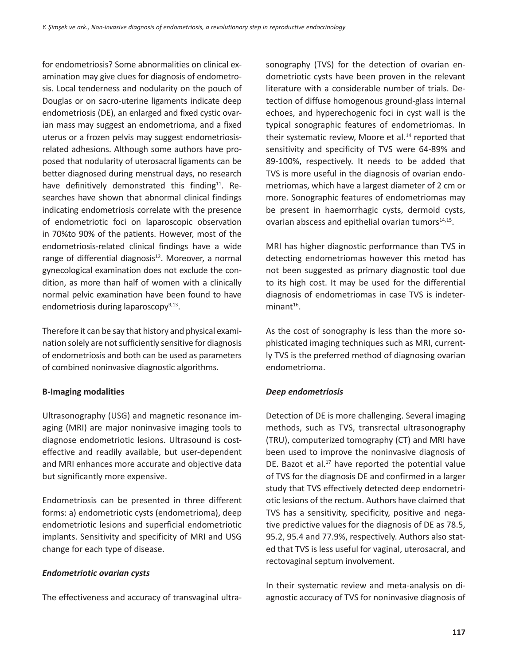for endometriosis? Some abnormalities on clinical examination may give clues for diagnosis of endometrosis. Local tenderness and nodularity on the pouch of Douglas or on sacro-uterine ligaments indicate deep endometriosis (DE), an enlarged and fixed cystic ovarian mass may suggest an endometrioma, and a fixed uterus or a frozen pelvis may suggest endometriosisrelated adhesions. Although some authors have proposed that nodularity of uterosacral ligaments can be better diagnosed during menstrual days, no research have definitively demonstrated this finding<sup>11</sup>. Researches have shown that abnormal clinical findings indicating endometriosis correlate with the presence of endometriotic foci on laparoscopic observation in 70%to 90% of the patients. However, most of the endometriosis-related clinical findings have a wide range of differential diagnosis $12$ . Moreover, a normal gynecological examination does not exclude the condition, as more than half of women with a clinically normal pelvic examination have been found to have endometriosis during laparoscopy $9,13$ .

Therefore it can be say that history and physical examination solely are not sufficiently sensitive for diagnosis of endometriosis and both can be used as parameters of combined noninvasive diagnostic algorithms.

# **B-Imaging modalities**

Ultrasonography (USG) and magnetic resonance imaging (MRI) are major noninvasive imaging tools to diagnose endometriotic lesions. Ultrasound is costeffective and readily available, but user-dependent and MRI enhances more accurate and objective data but significantly more expensive.

Endometriosis can be presented in three different forms: a) endometriotic cysts (endometrioma), deep endometriotic lesions and superficial endometriotic implants. Sensitivity and specificity of MRI and USG change for each type of disease.

#### *Endometriotic ovarian cysts*

The effectiveness and accuracy of transvaginal ultra-

sonography (TVS) for the detection of ovarian endometriotic cysts have been proven in the relevant literature with a considerable number of trials. Detection of diffuse homogenous ground-glass internal echoes, and hyperechogenic foci in cyst wall is the typical sonographic features of endometriomas. In their systematic review, Moore et al.<sup>14</sup> reported that sensitivity and specificity of TVS were 64-89% and 89-100%, respectively. It needs to be added that TVS is more useful in the diagnosis of ovarian endometriomas, which have a largest diameter of 2 cm or more. Sonographic features of endometriomas may be present in haemorrhagic cysts, dermoid cysts, ovarian abscess and epithelial ovarian tumors<sup>14,15</sup>.

MRI has higher diagnostic performance than TVS in detecting endometriomas however this metod has not been suggested as primary diagnostic tool due to its high cost. It may be used for the differential diagnosis of endometriomas in case TVS is indeter $minant<sup>16</sup>$ .

As the cost of sonography is less than the more sophisticated imaging techniques such as MRI, currently TVS is the preferred method of diagnosing ovarian endometrioma.

# *Deep endometriosis*

Detection of DE is more challenging. Several imaging methods, such as TVS, transrectal ultrasonography (TRU), computerized tomography (CT) and MRI have been used to improve the noninvasive diagnosis of DE. Bazot et al. $17$  have reported the potential value of TVS for the diagnosis DE and confirmed in a larger study that TVS effectively detected deep endometriotic lesions of the rectum. Authors have claimed that TVS has a sensitivity, specificity, positive and negative predictive values for the diagnosis of DE as 78.5, 95.2, 95.4 and 77.9%, respectively. Authors also stated that TVS is less useful for vaginal, uterosacral, and rectovaginal septum involvement.

In their systematic review and meta-analysis on diagnostic accuracy of TVS for noninvasive diagnosis of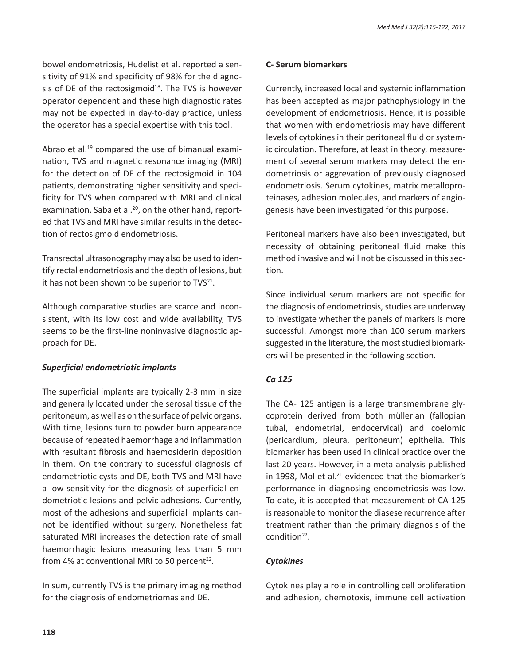bowel endometriosis, Hudelist et al. reported a sensitivity of 91% and specificity of 98% for the diagnosis of DE of the rectosigmoid $18$ . The TVS is however operator dependent and these high diagnostic rates may not be expected in day-to-day practice, unless the operator has a special expertise with this tool.

Abrao et al.<sup>19</sup> compared the use of bimanual examination, TVS and magnetic resonance imaging (MRI) for the detection of DE of the rectosigmoid in 104 patients, demonstrating higher sensitivity and specificity for TVS when compared with MRI and clinical examination. Saba et al.<sup>20</sup>, on the other hand, reported that TVS and MRI have similar results in the detection of rectosigmoid endometriosis.

Transrectal ultrasonography may also be used to identify rectal endometriosis and the depth of lesions, but it has not been shown to be superior to  $TVS^{21}$ .

Although comparative studies are scarce and inconsistent, with its low cost and wide availability, TVS seems to be the first-line noninvasive diagnostic approach for DE.

# *Superficial endometriotic implants*

The superficial implants are typically 2-3 mm in size and generally located under the serosal tissue of the peritoneum, as well as on the surface of pelvic organs. With time, lesions turn to powder burn appearance because of repeated haemorrhage and inflammation with resultant fibrosis and haemosiderin deposition in them. On the contrary to sucessful diagnosis of endometriotic cysts and DE, both TVS and MRI have a low sensitivity for the diagnosis of superficial endometriotic lesions and pelvic adhesions. Currently, most of the adhesions and superficial implants cannot be identified without surgery. Nonetheless fat saturated MRI increases the detection rate of small haemorrhagic lesions measuring less than 5 mm from 4% at conventional MRI to 50 percent<sup>22</sup>.

In sum, currently TVS is the primary imaging method for the diagnosis of endometriomas and DE.

#### **C- Serum biomarkers**

Currently, increased local and systemic inflammation has been accepted as major pathophysiology in the development of endometriosis. Hence, it is possible that women with endometriosis may have different levels of cytokines in their peritoneal fluid or systemic circulation. Therefore, at least in theory, measurement of several serum markers may detect the endometriosis or aggrevation of previously diagnosed endometriosis. Serum cytokines, matrix metalloproteinases, adhesion molecules, and markers of angiogenesis have been investigated for this purpose.

Peritoneal markers have also been investigated, but necessity of obtaining peritoneal fluid make this method invasive and will not be discussed in this section.

Since individual serum markers are not specific for the diagnosis of endometriosis, studies are underway to investigate whether the panels of markers is more successful. Amongst more than 100 serum markers suggested in the literature, the most studied biomarkers will be presented in the following section.

# *Ca 125*

The CA- 125 antigen is a large transmembrane glycoprotein derived from both müllerian (fallopian tubal, endometrial, endocervical) and coelomic (pericardium, pleura, peritoneum) epithelia. This biomarker has been used in clinical practice over the last 20 years. However, in a meta-analysis published in 1998, Mol et al. $21$  evidenced that the biomarker's performance in diagnosing endometriosis was low. To date, it is accepted that measurement of CA-125 is reasonable to monitor the diasese recurrence after treatment rather than the primary diagnosis of the condition<sup>22</sup>.

# *Cytokines*

Cytokines play a role in controlling cell proliferation and adhesion, chemotoxis, immune cell activation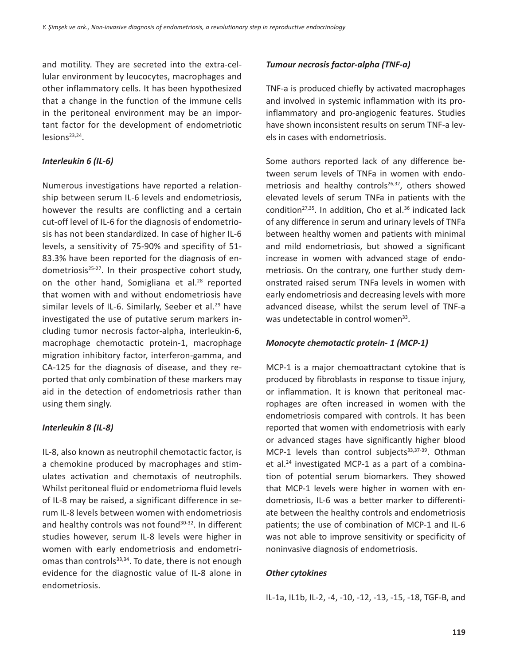and motility. They are secreted into the extra-cellular environment by leucocytes, macrophages and other inflammatory cells. It has been hypothesized that a change in the function of the immune cells in the peritoneal environment may be an important factor for the development of endometriotic lesions<sup>23,24</sup>.

#### *Interleukin 6 (IL-6)*

Numerous investigations have reported a relationship between serum IL-6 levels and endometriosis, however the results are conflicting and a certain cut-off level of IL-6 for the diagnosis of endometriosis has not been standardized. In case of higher IL-6 levels, a sensitivity of 75-90% and specifity of 51- 83.3% have been reported for the diagnosis of endometriosis<sup>25-27</sup>. In their prospective cohort study, on the other hand, Somigliana et al.<sup>28</sup> reported that women with and without endometriosis have similar levels of IL-6. Similarly, Seeber et al.<sup>29</sup> have investigated the use of putative serum markers including tumor necrosis factor-alpha, interleukin-6, macrophage chemotactic protein-1, macrophage migration inhibitory factor, interferon-gamma, and CA-125 for the diagnosis of disease, and they reported that only combination of these markers may aid in the detection of endometriosis rather than using them singly.

# *Interleukin 8 (IL-8)*

IL-8, also known as neutrophil chemotactic factor, is a chemokine produced by macrophages and stimulates activation and chemotaxis of neutrophils. Whilst peritoneal fluid or endometrioma fluid levels of IL-8 may be raised, a significant difference in serum IL-8 levels between women with endometriosis and healthy controls was not found<sup>30-32</sup>. In different studies however, serum IL-8 levels were higher in women with early endometriosis and endometriomas than controls $33,34$ . To date, there is not enough evidence for the diagnostic value of IL-8 alone in endometriosis.

# *Tumour necrosis factor-alpha (TNF-a)*

TNF-a is produced chiefly by activated macrophages and involved in systemic inflammation with its proinflammatory and pro-angiogenic features. Studies have shown inconsistent results on serum TNF-a levels in cases with endometriosis.

Some authors reported lack of any difference between serum levels of TNFa in women with endometriosis and healthy controls $26,32$ , others showed elevated levels of serum TNFa in patients with the condition<sup>27,35</sup>. In addition, Cho et al. $36$  indicated lack of any difference in serum and urinary levels of TNFa between healthy women and patients with minimal and mild endometriosis, but showed a significant increase in women with advanced stage of endometriosis. On the contrary, one further study demonstrated raised serum TNFa levels in women with early endometriosis and decreasing levels with more advanced disease, whilst the serum level of TNF-a was undetectable in control women<sup>33</sup>.

# *Monocyte chemotactic protein- 1 (MCP-1)*

MCP-1 is a major chemoattractant cytokine that is produced by fibroblasts in response to tissue injury, or inflammation. It is known that peritoneal macrophages are often increased in women with the endometriosis compared with controls. It has been reported that women with endometriosis with early or advanced stages have significantly higher blood MCP-1 levels than control subjects $33,37-39$ . Othman et al.24 investigated MCP-1 as a part of a combination of potential serum biomarkers. They showed that MCP-1 levels were higher in women with endometriosis, IL-6 was a better marker to differentiate between the healthy controls and endometriosis patients; the use of combination of MCP-1 and IL-6 was not able to improve sensitivity or specificity of noninvasive diagnosis of endometriosis.

# *Other cytokines*

IL-1a, IL1b, IL-2, -4, -10, -12, -13, -15, -18, TGF-B, and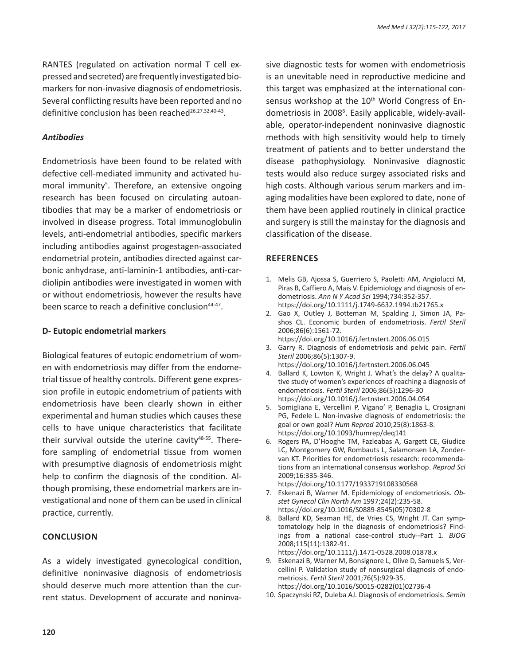RANTES (regulated on activation normal T cell expressed and secreted) are frequently investigated biomarkers for non-invasive diagnosis of endometriosis. Several conflicting results have been reported and no definitive conclusion has been reached<sup>26,27,32,40-43</sup>.

#### *Antibodies*

Endometriosis have been found to be related with defective cell-mediated immunity and activated humoral immunity<sup>5</sup>. Therefore, an extensive ongoing research has been focused on circulating autoantibodies that may be a marker of endometriosis or involved in disease progress. Total immunoglobulin levels, anti-endometrial antibodies, specific markers including antibodies against progestagen-associated endometrial protein, antibodies directed against carbonic anhydrase, anti-laminin-1 antibodies, anti-cardiolipin antibodies were investigated in women with or without endometriosis, however the results have been scarce to reach a definitive conclusion<sup>44-47</sup>.

#### **D- Eutopic endometrial markers**

Biological features of eutopic endometrium of women with endometriosis may differ from the endometrial tissue of healthy controls. Different gene expression profile in eutopic endometrium of patients with endometriosis have been clearly shown in either experimental and human studies which causes these cells to have unique characteristics that facilitate their survival outside the uterine cavity<sup>48-55</sup>. Therefore sampling of endometrial tissue from women with presumptive diagnosis of endometriosis might help to confirm the diagnosis of the condition. Although promising, these endometrial markers are investigational and none of them can be used in clinical practice, currently.

#### **Conclusion**

As a widely investigated gynecological condition, definitive noninvasive diagnosis of endometriosis should deserve much more attention than the current status. Development of accurate and noninvasive diagnostic tests for women with endometriosis is an unevitable need in reproductive medicine and this target was emphasized at the international consensus workshop at the 10<sup>th</sup> World Congress of Endometriosis in 2008<sup>6</sup>. Easily applicable, widely-available, operator-independent noninvasive diagnostic methods with high sensitivity would help to timely treatment of patients and to better understand the disease pathophysiology. Noninvasive diagnostic tests would also reduce surgey associated risks and high costs. Although various serum markers and imaging modalities have been explored to date, none of them have been applied routinely in clinical practice and surgery is still the mainstay for the diagnosis and classification of the disease.

#### **References**

- 1. Melis GB, Ajossa S, Guerriero S, Paoletti AM, Angiolucci M, Piras B, Caffiero A, Mais V. Epidemiology and diagnosis of endometriosis. *Ann N Y Acad Sci* 1994;734:352-357. https://doi.org/10.1111/j.1749-6632.1994.tb21765.x
- 2. Gao X, Outley J, Botteman M, Spalding J, Simon JA, Pashos CL. Economic burden of endometriosis. *Fertil Steril* 2006;86(6):1561-72. https://doi.org/10.1016/j.fertnstert.2006.06.015
- 3. Garry R. Diagnosis of endometriosis and pelvic pain. *Fertil Steril* 2006;86(5):1307-9. https://doi.org/10.1016/j.fertnstert.2006.06.045
- 4. Ballard K, Lowton K, Wright J. What's the delay? A qualitative study of women's experiences of reaching a diagnosis of endometriosis. *Fertil Steril* 2006;86(5):1296-30 https://doi.org/10.1016/j.fertnstert.2006.04.054
- 5. Somigliana E, Vercellini P, Vigano' P, Benaglia L, Crosignani PG, Fedele L. Non-invasive diagnosis of endometriosis: the goal or own goal? *Hum Reprod* 2010;25(8):1863-8. https://doi.org/10.1093/humrep/deq141
- 6. Rogers PA, D'Hooghe TM, Fazleabas A, Gargett CE, Giudice LC, Montgomery GW, Rombauts L, Salamonsen LA, Zondervan KT. Priorities for endometriosis research: recommendations from an international consensus workshop. *Reprod Sci*  2009;16:335-346. https://doi.org/10.1177/1933719108330568
- 7. Eskenazi B, Warner M. Epidemiology of endometriosis. *Obstet Gynecol Clin North Am* 1997;24(2):235-58. https://doi.org/10.1016/S0889-8545(05)70302-8
- 8. Ballard KD, Seaman HE, de Vries CS, Wright JT. Can symptomatology help in the diagnosis of endometriosis? Findings from a national case-control study--Part 1. *BJOG* 2008;115(11):1382-91. https://doi.org/10.1111/j.1471-0528.2008.01878.x
- 9. Eskenazi B, Warner M, Bonsignore L, Olive D, Samuels S, Vercellini P. Validation study of nonsurgical diagnosis of endometriosis. *Fertil Steril* 2001;76(5):929-35. https://doi.org/10.1016/S0015-0282(01)02736-4
- 10. Spaczynski RZ, Duleba AJ. Diagnosis of endometriosis. *Semin*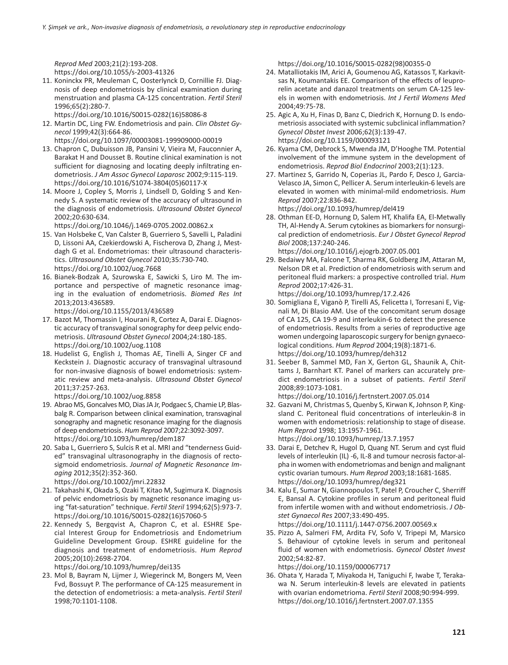*Reprod Med* 2003;21(2):193-208. https://doi.org/10.1055/s-2003-41326

11. Koninckx PR, Meuleman C, Oosterlynck D, Cornillie FJ. Diagnosis of deep endometriosis by clinical examination during menstruation and plasma CA-125 concentration. *Fertil Steril*  1996;65(2):280-7.

https://doi.org/10.1016/S0015-0282(16)58086-8

- 12. Martin DC, Ling FW. Endometriosis and pain. *Clin Obstet Gynecol* 1999;42(3):664-86.
- https://doi.org/10.1097/00003081-199909000-00019 13. Chapron C, Dubuisson JB, Pansini V, Vieira M, Fauconnier A, Barakat H and Dousset B. Routine clinical examination is not sufficient for diagnosing and locating deeply infiltrating endometriosis. *J Am Assoc Gynecol Laparosc* 2002;9:115-119. https://doi.org/10.1016/S1074-3804(05)60117-X
- 14. Moore J, Copley S, Morris J, Lindsell D, Golding S and Kennedy S. A systematic review of the accuracy of ultrasound in the diagnosis of endometriosis. *Ultrasound Obstet Gynecol*  2002;20:630-634.

https://doi.org/10.1046/j.1469-0705.2002.00862.x

- 15. Van Holsbeke C, Van Calster B, Guerriero S, Savelli L, Paladini D, Lissoni AA, Czekierdowski A, Fischerova D, Zhang J, Mestdagh G et al. Endometriomas: their ultrasound characteristics. *Ultrasound Obstet Gynecol* 2010;35:730-740. https://doi.org/10.1002/uog.7668
- 16. Bianek-Bodzak A, Szurowska E, Sawicki S, Liro M. The importance and perspective of magnetic resonance imaging in the evaluation of endometriosis. *Biomed Res Int*  2013;2013:436589.

https://doi.org/10.1155/2013/436589

- 17. Bazot M, Thomassin I, Hourani R, Cortez A, Darai E. Diagnostic accuracy of transvaginal sonography for deep pelvic endometriosis. *Ultrasound Obstet Gynecol* 2004;24:180-185. https://doi.org/10.1002/uog.1108
- 18. Hudelist G, English J, Thomas AE, Tinelli A, Singer CF and Keckstein J. Diagnostic accuracy of transvaginal ultrasound for non-invasive diagnosis of bowel endometriosis: systematic review and meta-analysis. *Ultrasound Obstet Gynecol*  2011;37:257-263.

https://doi.org/10.1002/uog.8858

- 19. Abrao MS, Goncalves MO, Dias JA Jr, Podgaec S, Chamie LP, Blasbalg R. Comparison between clinical examination, transvaginal sonography and magnetic resonance imaging for the diagnosis of deep endometriosis. *Hum Reprod* 2007;22:3092-3097. https://doi.org/10.1093/humrep/dem187
- 20. Saba L, Guerriero S, Sulcis R et al. MRI and "tenderness Guided" transvaginal ultrasonography in the diagnosis of rectosigmoid endometriosis. *Journal of Magnetic Resonance Imaging* 2012;35(2):352-360. https://doi.org/10.1002/jmri.22832
- 21. Takahashi K, Okada S, Ozaki T, Kitao M, Sugimura K. Diagnosis of pelvic endometriosis by magnetic resonance imaging using "fat-saturation" technique. *Fertil Steril* 1994;62(5):973-7. https://doi.org/10.1016/S0015-0282(16)57060-5
- 22. Kennedy S, Bergqvist A, Chapron C, et al. ESHRE Special Interest Group for Endometriosis and Endometrium Guideline Development Group. ESHRE guideline for the diagnosis and treatment of endometriosis. *Hum Reprod* 2005;20(10):2698-2704.

https://doi.org/10.1093/humrep/dei135

23. Mol B, Bayram N, Lijmer J, Wiegerinck M, Bongers M, Veen Fvd, Bossuyt P. The performance of CA-125 measurement in the detection of endometriosis: a meta-analysis. *Fertil Steril*  1998;70:1101-1108.

https://doi.org/10.1016/S0015-0282(98)00355-0

- 24. Matalliotakis IM, Arici A, Goumenou AG, Katassos T, Karkavitsas N, Koumantakis EE. Comparison of the effects of leuprorelin acetate and danazol treatments on serum CA-125 levels in women with endometriosis. *Int J Fertil Womens Med* 2004;49:75-78.
- 25. Agic A, Xu H, Finas D, Banz C, Diedrich K, Hornung D. Is endometriosis associated with systemic subclinical inflammation? *Gynecol Obstet Invest* 2006;62(3):139-47. https://doi.org/10.1159/000093121
- 26. Kyama CM, Debrock S, Mwenda JM, D'Hooghe TM. Potential involvement of the immune system in the development of endometriosis. *Reprod Biol Endocrinol* 2003;2(1):123.
- 27. Martinez S, Garrido N, Coperias JL, Pardo F, Desco J, Garcia-Velasco JA, Simon C, Pellicer A. Serum interleukin-6 levels are elevated in women with minimal-mild endometriosis. *Hum Reprod* 2007;22:836-842.

https://doi.org/10.1093/humrep/del419

- 28. Othman EE-D, Hornung D, Salem HT, Khalifa EA, El-Metwally TH, Al-Hendy A. Serum cytokines as biomarkers for nonsurgical prediction of endometriosis. *Eur J Obstet Gynecol Reprod Biol* 2008;137:240-246. https://doi.org/10.1016/j.ejogrb.2007.05.001
- 29. Bedaiwy MA, Falcone T, Sharma RK, Goldberg JM, Attaran M, Nelson DR et al. Prediction of endometriosis with serum and peritoneal fluid markers: a prospective controlled trial. *Hum Reprod* 2002;17:426-31.

https://doi.org/10.1093/humrep/17.2.426

- 30. Somigliana E, Viganò P, Tirelli AS, Felicetta I, Torresani E, Vignali M, Di Blasio AM. Use of the concomitant serum dosage of CA 125, CA 19-9 and interleukin-6 to detect the presence of endometriosis. Results from a series of reproductive age women undergoing laparoscopic surgery for benign gynaecological conditions. *Hum Reprod* 2004;19(8):1871-6. https://doi.org/10.1093/humrep/deh312
- 31. Seeber B, Sammel MD, Fan X, Gerton GL, Shaunik A, Chittams J, Barnhart KT. Panel of markers can accurately predict endometriosis in a subset of patients. *Fertil Steril* 2008;89:1073-1081.

https://doi.org/10.1016/j.fertnstert.2007.05.014

- 32. Gazvani M, Christmas S, Quenby S, Kirwan K, Johnson P, Kingsland C. Peritoneal fluid concentrations of interleukin-8 in women with endometriosis: relationship to stage of disease. *Hum Reprod* 1998; 13:1957-1961. https://doi.org/10.1093/humrep/13.7.1957
- 33. Darai E, Detchev R, Hugol D, Quang NT. Serum and cyst fluid levels of interleukin (IL) -6, IL-8 and tumour necrosis factor-alpha in women with endometriomas and benign and malignant cystic ovarian tumours. *Hum Reprod* 2003;18:1681-1685. https://doi.org/10.1093/humrep/deg321
- 34. Kalu E, Sumar N, Giannopoulos T, Patel P, Croucher C, Sherriff E, Bansal A. Cytokine profiles in serum and peritoneal fluid from infertile women with and without endometriosis. *J Obstet Gynaecol Res* 2007;33:490-495. https://doi.org/10.1111/j.1447-0756.2007.00569.x
- 35. Pizzo A, Salmeri FM, Ardita FV, Sofo V, Tripepi M, Marsico S. Behaviour of cytokine levels in serum and peritoneal fluid of women with endometriosis. *Gynecol Obstet Invest*  2002;54:82-87.

https://doi.org/10.1159/000067717

36. Ohata Y, Harada T, Miyakoda H, Taniguchi F, Iwabe T, Terakawa N. Serum interleukin-8 levels are elevated in patients with ovarian endometrioma. *Fertil Steril* 2008;90:994-999. https://doi.org/10.1016/j.fertnstert.2007.07.1355